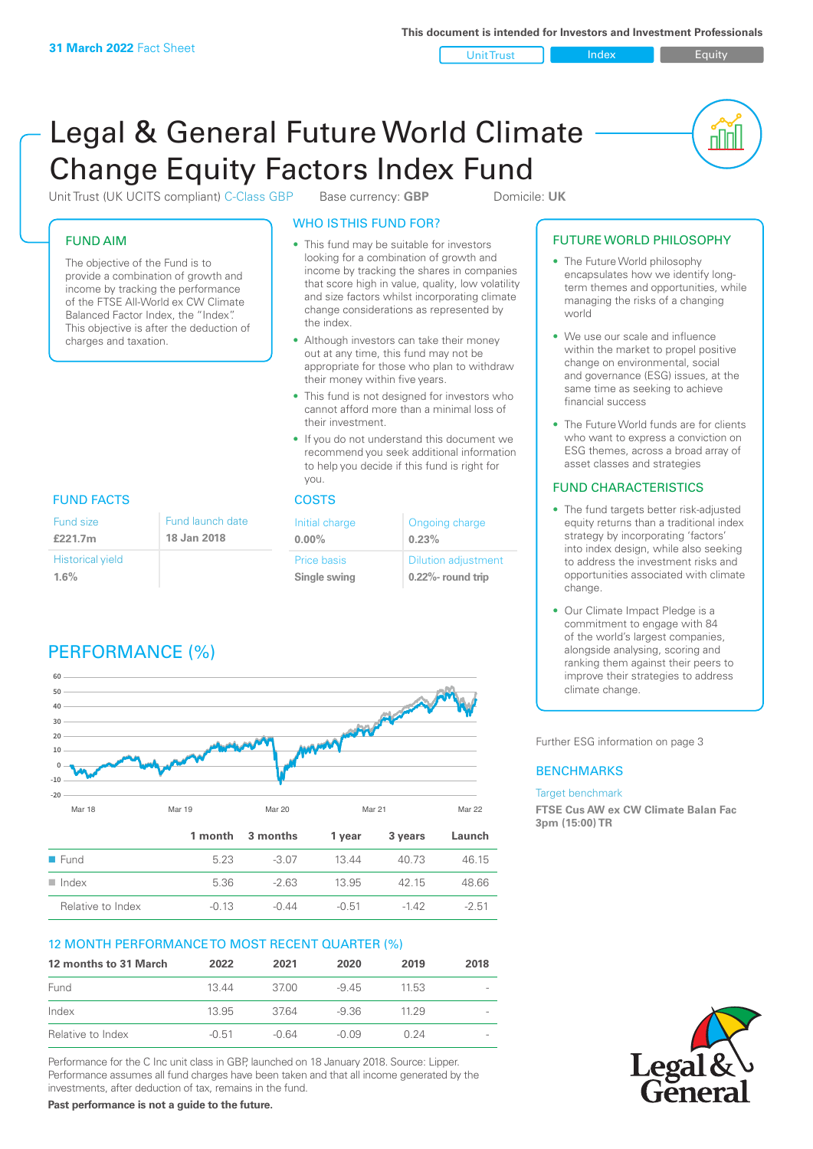Unit Trust Index **Index** Equity

<u>nul</u>

# Legal & General Future World Climate Change Equity Factors Index Fund

Unit Trust (UK UCITS compliant) C-Class GBP Base currency: **GBP** Domicile: UK

# FUND AIM

The objective of the Fund is to provide a combination of growth and income by tracking the performance of the FTSE All-World ex CW Climate Balanced Factor Index, the "Index". This objective is after the deduction of charges and taxation.

# WHO IS THIS FUND FOR?

- This fund may be suitable for investors looking for a combination of growth and income by tracking the shares in companies that score high in value, quality, low volatility and size factors whilst incorporating climate change considerations as represented by the index.
- Although investors can take their money out at any time, this fund may not be appropriate for those who plan to withdraw their money within five years.
- This fund is not designed for investors who cannot afford more than a minimal loss of their investment.
- If you do not understand this document we recommend you seek additional information to help you decide if this fund is right for you.

| Initial charge<br>$0.00\%$  | Ongoing charge<br>0.23%                             |  |
|-----------------------------|-----------------------------------------------------|--|
| Price basis<br>Single swing | <b>Dilution adjustment</b><br>$0.22\%$ - round trip |  |

# FUND FACTS COSTS

| Fund size               | Fund launch date |
|-------------------------|------------------|
| £221.7m                 | 18 Jan 2018      |
| <b>Historical yield</b> |                  |
| 1.6%                    |                  |

# PERFORMANCE (%)



# 12 MONTH PERFORMANCE TO MOST RECENT QUARTER (%)

| 12 months to 31 March | 2022    | 2021    | 2020    | 2019   | 2018 |
|-----------------------|---------|---------|---------|--------|------|
| Fund                  | 1344    | 3700    | $-945$  | 11.53  |      |
| Index                 | 13.95   | 3764    | -9.36   | 11 2 9 |      |
| Relative to Index     | $-0.51$ | $-0.64$ | $-0.09$ | 0.24   |      |

Performance for the C Inc unit class in GBP, launched on 18 January 2018. Source: Lipper. Performance assumes all fund charges have been taken and that all income generated by the investments, after deduction of tax, remains in the fund.

**Past performance is not a guide to the future.**

# FUTURE WORLD PHILOSOPHY

- The Future World philosophy encapsulates how we identify longterm themes and opportunities, while managing the risks of a changing world
- We use our scale and influence within the market to propel positive change on environmental, social and governance (ESG) issues, at the same time as seeking to achieve financial success
- The Future World funds are for clients who want to express a conviction on ESG themes, across a broad array of asset classes and strategies

# FUND CHARACTERISTICS

- The fund targets better risk-adjusted equity returns than a traditional index strategy by incorporating 'factors' into index design, while also seeking to address the investment risks and opportunities associated with climate change.
- Our Climate Impact Pledge is a commitment to engage with 84 of the world's largest companies, alongside analysing, scoring and ranking them against their peers to improve their strategies to address climate change.

Further ESG information on page 3

# **BENCHMARKS**

### Target benchmark

**FTSE Cus AW ex CW Climate Balan Fac 3pm (15:00) TR**

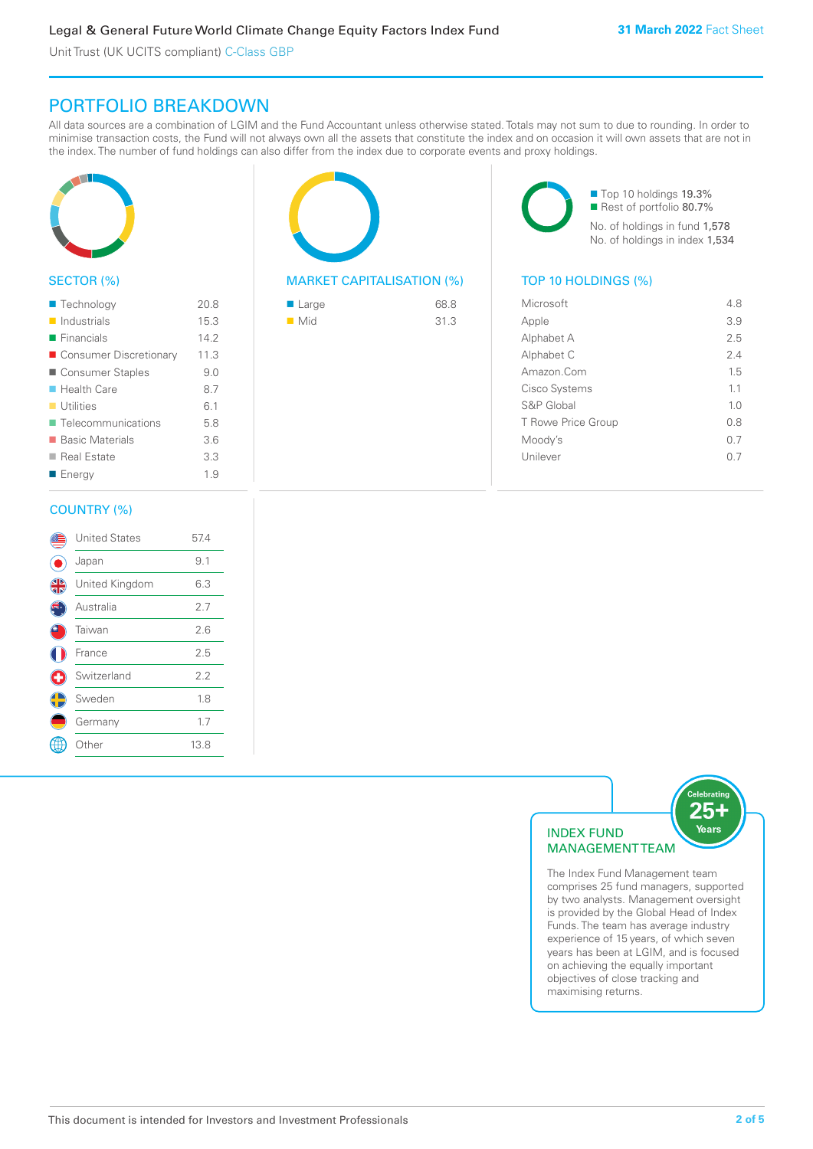Unit Trust (UK UCITS compliant) C-Class GBP

# PORTFOLIO BREAKDOWN

All data sources are a combination of LGIM and the Fund Accountant unless otherwise stated. Totals may not sum to due to rounding. In order to minimise transaction costs, the Fund will not always own all the assets that constitute the index and on occasion it will own assets that are not in the index. The number of fund holdings can also differ from the index due to corporate events and proxy holdings.



# SECTOR (%)

| ■ Technology               | 20.8 |
|----------------------------|------|
| $\blacksquare$ Industrials | 15.3 |
| $\blacksquare$ Financials  | 14.2 |
| ■ Consumer Discretionary   | 11.3 |
| ■ Consumer Staples         | 9.0  |
| $\blacksquare$ Health Care | 8.7  |
| $\blacksquare$ Utilities   | 6.1  |
| ■ Telecommunications       | 5.8  |
| ■ Basic Materials          | 3.6  |
| ■ Real Estate              | 3.3  |
| ■ Energy                   | 1.9  |
|                            |      |

# COUNTRY (%)

|   | <b>United States</b> | 57.4 |  |
|---|----------------------|------|--|
|   | Japan                | 9.1  |  |
| 4 | United Kingdom       | 6.3  |  |
|   | Australia            | 2.7  |  |
|   | Taiwan               | 2.6  |  |
|   | France               | 2.5  |  |
| ÷ | Switzerland          | 2.2  |  |
|   | Sweden               | 1.8  |  |
|   | Germany              | 1.7  |  |
|   | Other                | 13.8 |  |
|   |                      |      |  |



# MARKET CAPITALISATION (%) TOP 10 HOLDINGS (%)

| $\blacksquare$ Large | 68.8 |
|----------------------|------|
| $\blacksquare$ Mid   | 31.3 |

■ Top 10 holdings 19.3% ■ Rest of portfolio 80.7% No. of holdings in fund 1,578 No. of holdings in index 1,534

| Microsoft          | 4.8            |
|--------------------|----------------|
| Apple              | 3.9            |
| Alphabet A         | 2.5            |
| Alphabet C         | 2.4            |
| Amazon.Com         | 1.5            |
| Cisco Systems      | 1.1            |
| S&P Global         | 1 <sub>0</sub> |
| T Rowe Price Group | 0.8            |
| Moody's            | 0 7            |
| Unilever           | () /           |
|                    |                |



The Index Fund Management team comprises 25 fund managers, supported by two analysts. Management oversight is provided by the Global Head of Index Funds. The team has average industry experience of 15 years, of which seven years has been at LGIM, and is focused on achieving the equally important objectives of close tracking and maximising returns.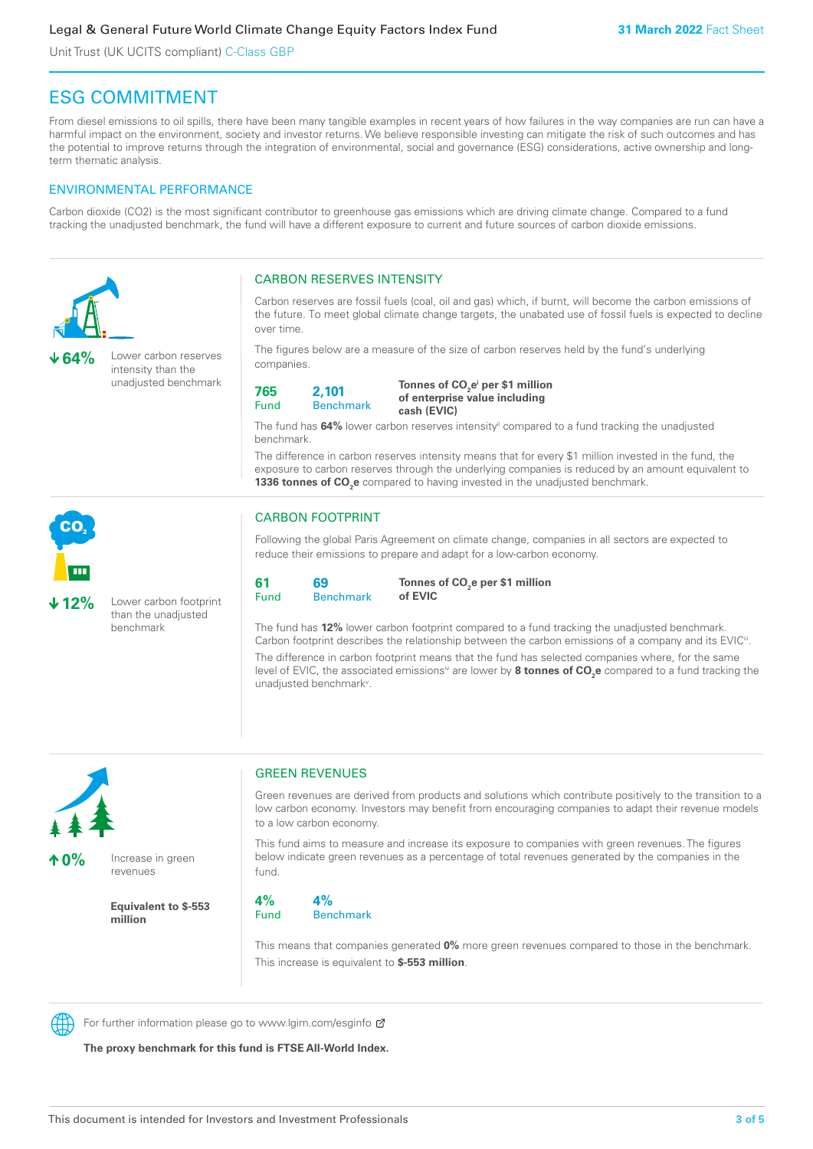# Legal & General Future World Climate Change Equity Factors Index Fund

Unit Trust (UK UCITS compliant) C-Class GBP

# ESG COMMITMENT

From diesel emissions to oil spills, there have been many tangible examples in recent years of how failures in the way companies are run can have a harmful impact on the environment, society and investor returns. We believe responsible investing can mitigate the risk of such outcomes and has the potential to improve returns through the integration of environmental, social and governance (ESG) considerations, active ownership and longterm thematic analysis.

# ENVIRONMENTAL PERFORMANCE

Carbon dioxide (CO2) is the most significant contributor to greenhouse gas emissions which are driving climate change. Compared to a fund tracking the unadjusted benchmark, the fund will have a different exposure to current and future sources of carbon dioxide emissions.





**10%** Increase in green

revenues

**Equivalent to \$-553 million**

# GREEN REVENUES

Green revenues are derived from products and solutions which contribute positively to the transition to a low carbon economy. Investors may benefit from encouraging companies to adapt their revenue models to a low carbon economy.

This fund aims to measure and increase its exposure to companies with green revenues. The figures below indicate green revenues as a percentage of total revenues generated by the companies in the fund.

**4%** Fund **4%** Benchmark

This means that companies generated **0%** more green revenues compared to those in the benchmark. This increase is equivalent to **\$-553 million**.



For further information please go to www.lgim.com/esginfo Ø

**The proxy benchmark for this fund is FTSE All-World Index.**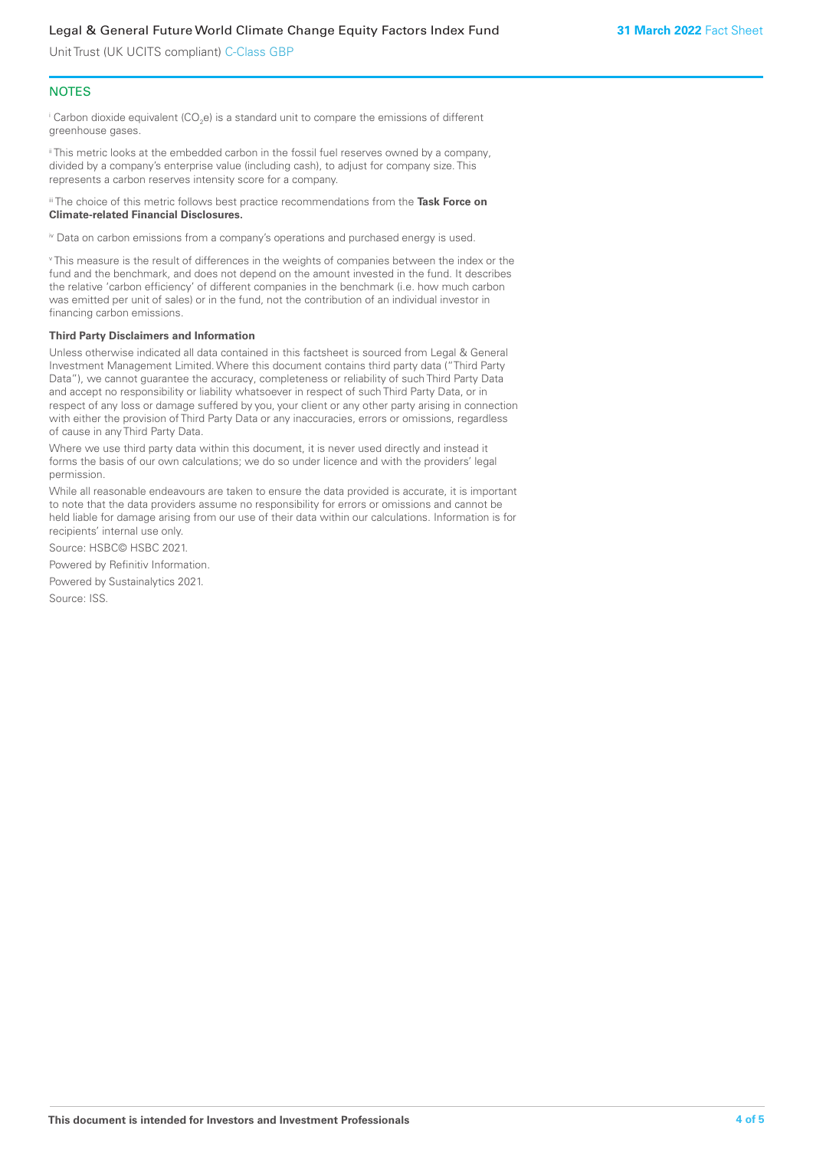Unit Trust (UK UCITS compliant) C-Class GBP

# **NOTES**

 $^\mathrm{i}$  Carbon dioxide equivalent (CO<sub>2</sub>e) is a standard unit to compare the emissions of different greenhouse gases.

ii This metric looks at the embedded carbon in the fossil fuel reserves owned by a company, divided by a company's enterprise value (including cash), to adjust for company size. This represents a carbon reserves intensity score for a company.

iii The choice of this metric follows best practice recommendations from the **Task Force on Climate-related Financial Disclosures.**

iv Data on carbon emissions from a company's operations and purchased energy is used.

v This measure is the result of differences in the weights of companies between the index or the fund and the benchmark, and does not depend on the amount invested in the fund. It describes the relative 'carbon efficiency' of different companies in the benchmark (i.e. how much carbon was emitted per unit of sales) or in the fund, not the contribution of an individual investor in financing carbon emissions.

### **Third Party Disclaimers and Information**

Unless otherwise indicated all data contained in this factsheet is sourced from Legal & General Investment Management Limited. Where this document contains third party data ("Third Party Data"), we cannot guarantee the accuracy, completeness or reliability of such Third Party Data and accept no responsibility or liability whatsoever in respect of such Third Party Data, or in respect of any loss or damage suffered by you, your client or any other party arising in connection with either the provision of Third Party Data or any inaccuracies, errors or omissions, regardless of cause in any Third Party Data.

Where we use third party data within this document, it is never used directly and instead it forms the basis of our own calculations; we do so under licence and with the providers' legal permission.

While all reasonable endeavours are taken to ensure the data provided is accurate, it is important to note that the data providers assume no responsibility for errors or omissions and cannot be held liable for damage arising from our use of their data within our calculations. Information is for recipients' internal use only.

Source: HSBC© HSBC 2021.

Powered by Refinitiv Information.

Powered by Sustainalytics 2021.

Source: ISS.